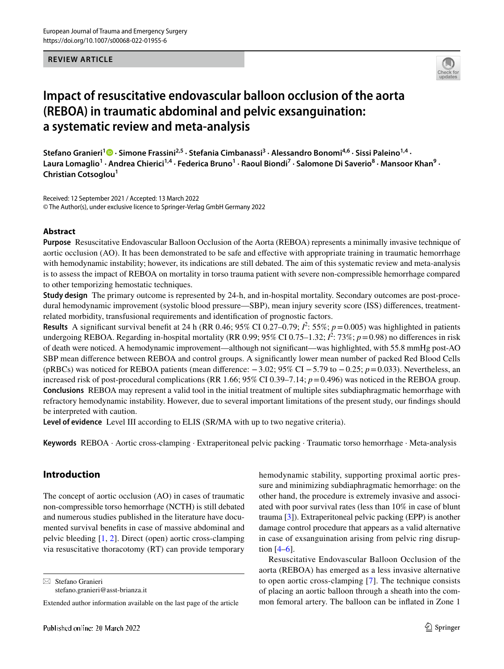#### **REVIEW ARTICLE**



# **Impact of resuscitative endovascular balloon occlusion of the aorta (REBOA) in traumatic abdominal and pelvic exsanguination: a systematic review and meta‑analysis**

**Stefano Granieri[1](http://orcid.org/0000-0001-9167-3400) · Simone Frassini2,5 · Stefania Cimbanassi3 · Alessandro Bonomi4,6 · Sissi Paleino1,4 ·**  Laura Lomaglio<sup>1</sup> · Andrea Chierici<sup>1,4</sup> · Federica Bruno<sup>1</sup> · Raoul Biondi<sup>7</sup> · Salomone Di Saverio<sup>8</sup> · Mansoor Khan<sup>9</sup> · **Christian Cotsoglou<sup>1</sup>**

Received: 12 September 2021 / Accepted: 13 March 2022 © The Author(s), under exclusive licence to Springer-Verlag GmbH Germany 2022

#### **Abstract**

**Purpose** Resuscitative Endovascular Balloon Occlusion of the Aorta (REBOA) represents a minimally invasive technique of aortic occlusion (AO). It has been demonstrated to be safe and efective with appropriate training in traumatic hemorrhage with hemodynamic instability; however, its indications are still debated. The aim of this systematic review and meta-analysis is to assess the impact of REBOA on mortality in torso trauma patient with severe non-compressible hemorrhage compared to other temporizing hemostatic techniques.

**Study design** The primary outcome is represented by 24-h, and in-hospital mortality. Secondary outcomes are post-procedural hemodynamic improvement (systolic blood pressure—SBP), mean injury severity score (ISS) diferences, treatmentrelated morbidity, transfusional requirements and identifcation of prognostic factors.

**Results** A significant survival benefit at 24 h (RR 0.46; 95% CI 0.27–0.79;  $l^2$ : 55%;  $p = 0.005$ ) was highlighted in patients undergoing REBOA. Regarding in-hospital mortality (RR 0.99; 95% CI 0.75–1.32;  $l^2$ : 73%;  $p = 0.98$ ) no differences in risk of death were noticed. A hemodynamic improvement—although not signifcant—was highlighted, with 55.8 mmHg post-AO SBP mean diference between REBOA and control groups. A signifcantly lower mean number of packed Red Blood Cells (pRBCs) was noticed for REBOA patients (mean diference: −3.02; 95% CI −5.79 to −0.25; *p*=0.033). Nevertheless, an increased risk of post-procedural complications (RR 1.66; 95% CI 0.39–7.14;  $p=0.496$ ) was noticed in the REBOA group. **Conclusions** REBOA may represent a valid tool in the initial treatment of multiple sites subdiaphragmatic hemorrhage with refractory hemodynamic instability. However, due to several important limitations of the present study, our fndings should be interpreted with caution.

**Level of evidence** Level III according to ELIS (SR/MA with up to two negative criteria).

**Keywords** REBOA · Aortic cross-clamping · Extraperitoneal pelvic packing · Traumatic torso hemorrhage · Meta-analysis

# **Introduction**

The concept of aortic occlusion (AO) in cases of traumatic non-compressible torso hemorrhage (NCTH) is still debated and numerous studies published in the literature have documented survival benefts in case of massive abdominal and pelvic bleeding [[1,](#page-11-0) [2](#page-11-1)]. Direct (open) aortic cross-clamping via resuscitative thoracotomy (RT) can provide temporary

 $\boxtimes$  Stefano Granieri

stefano.granieri@asst-brianza.it

hemodynamic stability, supporting proximal aortic pressure and minimizing subdiaphragmatic hemorrhage: on the other hand, the procedure is extremely invasive and associated with poor survival rates (less than 10% in case of blunt trauma [\[3](#page-11-2)]). Extraperitoneal pelvic packing (EPP) is another damage control procedure that appears as a valid alternative in case of exsanguination arising from pelvic ring disruption  $[4–6]$  $[4–6]$  $[4–6]$ .

Resuscitative Endovascular Balloon Occlusion of the aorta (REBOA) has emerged as a less invasive alternative to open aortic cross-clamping [[7](#page-11-5)]. The technique consists of placing an aortic balloon through a sheath into the common femoral artery. The balloon can be infated in Zone 1

Extended author information available on the last page of the article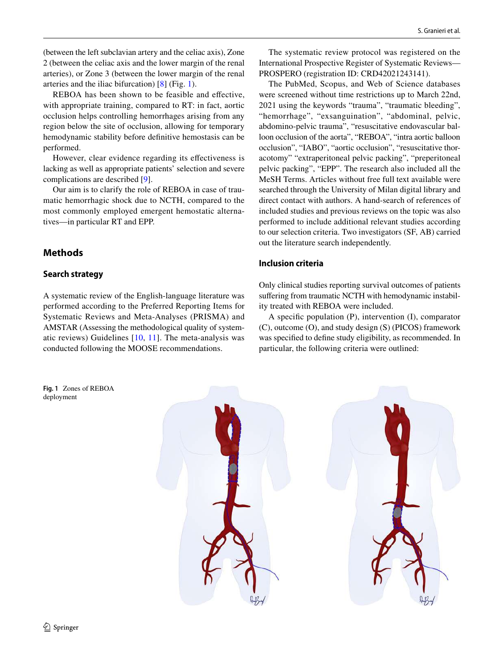(between the left subclavian artery and the celiac axis), Zone 2 (between the celiac axis and the lower margin of the renal arteries), or Zone 3 (between the lower margin of the renal arteries and the iliac bifurcation) [\[8](#page-11-6)] (Fig. [1\)](#page-1-0).

REBOA has been shown to be feasible and efective, with appropriate training, compared to RT: in fact, aortic occlusion helps controlling hemorrhages arising from any region below the site of occlusion, allowing for temporary hemodynamic stability before defnitive hemostasis can be performed.

However, clear evidence regarding its efectiveness is lacking as well as appropriate patients' selection and severe complications are described [[9\]](#page-11-7).

Our aim is to clarify the role of REBOA in case of traumatic hemorrhagic shock due to NCTH, compared to the most commonly employed emergent hemostatic alternatives—in particular RT and EPP.

# **Methods**

### **Search strategy**

A systematic review of the English-language literature was performed according to the Preferred Reporting Items for Systematic Reviews and Meta-Analyses (PRISMA) and AMSTAR (Assessing the methodological quality of systematic reviews) Guidelines [[10](#page-11-8), [11](#page-11-9)]. The meta-analysis was conducted following the MOOSE recommendations.

The systematic review protocol was registered on the International Prospective Register of Systematic Reviews— PROSPERO (registration ID: CRD42021243141).

The PubMed, Scopus, and Web of Science databases were screened without time restrictions up to March 22nd, 2021 using the keywords "trauma", "traumatic bleeding", "hemorrhage", "exsanguination", "abdominal, pelvic, abdomino-pelvic trauma", "resuscitative endovascular balloon occlusion of the aorta", "REBOA", "intra aortic balloon occlusion", "IABO", "aortic occlusion", "resuscitative thoracotomy" "extraperitoneal pelvic packing", "preperitoneal pelvic packing", "EPP". The research also included all the MeSH Terms. Articles without free full text available were searched through the University of Milan digital library and direct contact with authors. A hand-search of references of included studies and previous reviews on the topic was also performed to include additional relevant studies according to our selection criteria. Two investigators (SF, AB) carried out the literature search independently.

### **Inclusion criteria**

Only clinical studies reporting survival outcomes of patients suffering from traumatic NCTH with hemodynamic instability treated with REBOA were included.

A specifc population (P), intervention (I), comparator (C), outcome (O), and study design (S) (PICOS) framework was specifed to defne study eligibility, as recommended. In particular, the following criteria were outlined:

<span id="page-1-0"></span>**Fig. 1** Zones of REBOA deployment

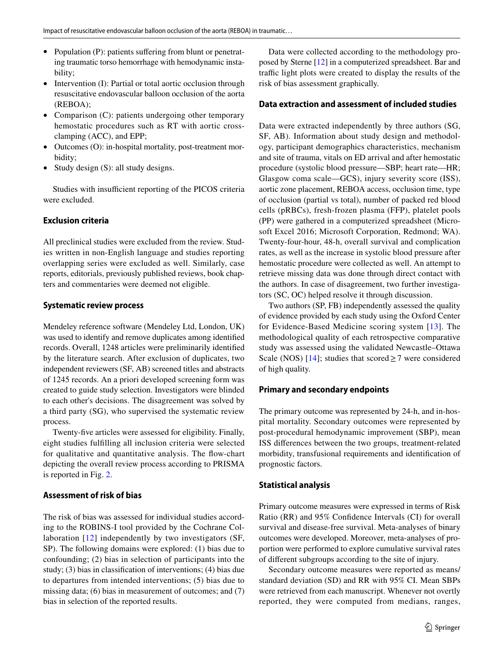- Population (P): patients suffering from blunt or penetrating traumatic torso hemorrhage with hemodynamic instability;
- Intervention (I): Partial or total aortic occlusion through resuscitative endovascular balloon occlusion of the aorta (REBOA);
- Comparison (C): patients undergoing other temporary hemostatic procedures such as RT with aortic crossclamping (ACC), and EPP;
- Outcomes (O): in-hospital mortality, post-treatment morbidity;
- Study design (S): all study designs.

Studies with insufficient reporting of the PICOS criteria were excluded.

#### **Exclusion criteria**

All preclinical studies were excluded from the review. Studies written in non-English language and studies reporting overlapping series were excluded as well. Similarly, case reports, editorials, previously published reviews, book chapters and commentaries were deemed not eligible.

#### **Systematic review process**

Mendeley reference software (Mendeley Ltd, London, UK) was used to identify and remove duplicates among identifed records. Overall, 1248 articles were preliminarily identifed by the literature search. After exclusion of duplicates, two independent reviewers (SF, AB) screened titles and abstracts of 1245 records. An a priori developed screening form was created to guide study selection. Investigators were blinded to each other's decisions. The disagreement was solved by a third party (SG), who supervised the systematic review process.

Twenty-fve articles were assessed for eligibility. Finally, eight studies fulflling all inclusion criteria were selected for qualitative and quantitative analysis. The fow-chart depicting the overall review process according to PRISMA is reported in Fig. [2](#page-3-0).

#### **Assessment of risk of bias**

The risk of bias was assessed for individual studies according to the ROBINS-I tool provided by the Cochrane Collaboration [[12\]](#page-11-10) independently by two investigators (SF, SP). The following domains were explored: (1) bias due to confounding; (2) bias in selection of participants into the study; (3) bias in classifcation of interventions; (4) bias due to departures from intended interventions; (5) bias due to missing data; (6) bias in measurement of outcomes; and (7) bias in selection of the reported results.

Data were collected according to the methodology proposed by Sterne [\[12](#page-11-10)] in a computerized spreadsheet. Bar and traffic light plots were created to display the results of the risk of bias assessment graphically.

#### **Data extraction and assessment of included studies**

Data were extracted independently by three authors (SG, SF, AB). Information about study design and methodology, participant demographics characteristics, mechanism and site of trauma, vitals on ED arrival and after hemostatic procedure (systolic blood pressure—SBP; heart rate—HR; Glasgow coma scale—GCS), injury severity score (ISS), aortic zone placement, REBOA access, occlusion time, type of occlusion (partial vs total), number of packed red blood cells (pRBCs), fresh-frozen plasma (FFP), platelet pools (PP) were gathered in a computerized spreadsheet (Microsoft Excel 2016; Microsoft Corporation, Redmond; WA). Twenty-four-hour, 48-h, overall survival and complication rates, as well as the increase in systolic blood pressure after hemostatic procedure were collected as well. An attempt to retrieve missing data was done through direct contact with the authors. In case of disagreement, two further investigators (SC, OC) helped resolve it through discussion.

Two authors (SP, FB) independently assessed the quality of evidence provided by each study using the Oxford Center for Evidence-Based Medicine scoring system [[13](#page-11-11)]. The methodological quality of each retrospective comparative study was assessed using the validated Newcastle–Ottawa Scale (NOS) [\[14\]](#page-11-12); studies that scored  $\geq$  7 were considered of high quality.

#### **Primary and secondary endpoints**

The primary outcome was represented by 24-h, and in-hospital mortality. Secondary outcomes were represented by post-procedural hemodynamic improvement (SBP), mean ISS diferences between the two groups, treatment-related morbidity, transfusional requirements and identifcation of prognostic factors.

#### **Statistical analysis**

Primary outcome measures were expressed in terms of Risk Ratio (RR) and 95% Confdence Intervals (CI) for overall survival and disease-free survival. Meta-analyses of binary outcomes were developed. Moreover, meta-analyses of proportion were performed to explore cumulative survival rates of diferent subgroups according to the site of injury.

Secondary outcome measures were reported as means/ standard deviation (SD) and RR with 95% CI. Mean SBPs were retrieved from each manuscript. Whenever not overtly reported, they were computed from medians, ranges,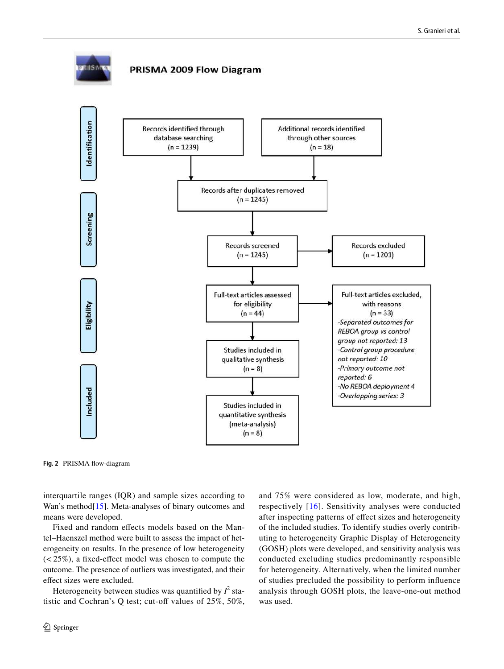

<span id="page-3-0"></span>**Fig. 2** PRISMA fow-diagram

interquartile ranges (IQR) and sample sizes according to Wan's method<sup>[[15\]](#page-11-13)</sup>. Meta-analyses of binary outcomes and means were developed.

Fixed and random efects models based on the Mantel–Haenszel method were built to assess the impact of heterogeneity on results. In the presence of low heterogeneity  $(<25\%)$ , a fixed-effect model was chosen to compute the outcome. The presence of outliers was investigated, and their efect sizes were excluded.

Heterogeneity between studies was quantified by  $I^2$  statistic and Cochran's Q test; cut-off values of  $25\%$ ,  $50\%$ , and 75% were considered as low, moderate, and high, respectively [\[16](#page-11-14)]. Sensitivity analyses were conducted after inspecting patterns of efect sizes and heterogeneity of the included studies. To identify studies overly contributing to heterogeneity Graphic Display of Heterogeneity (GOSH) plots were developed, and sensitivity analysis was conducted excluding studies predominantly responsible for heterogeneity. Alternatively, when the limited number of studies precluded the possibility to perform infuence analysis through GOSH plots, the leave-one-out method was used.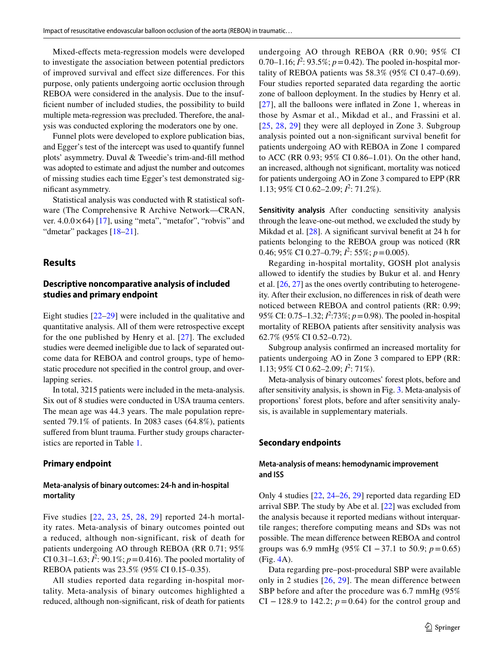Mixed-efects meta-regression models were developed to investigate the association between potential predictors of improved survival and efect size diferences. For this purpose, only patients undergoing aortic occlusion through REBOA were considered in the analysis. Due to the insuffcient number of included studies, the possibility to build multiple meta-regression was precluded. Therefore, the analysis was conducted exploring the moderators one by one.

Funnel plots were developed to explore publication bias, and Egger's test of the intercept was used to quantify funnel plots' asymmetry. Duval & Tweedie's trim-and-fll method was adopted to estimate and adjust the number and outcomes of missing studies each time Egger's test demonstrated signifcant asymmetry.

Statistical analysis was conducted with R statistical software (The Comprehensive R Archive Network—CRAN, ver.  $4.0.0 \times 64$ ) [[17\]](#page-11-15), using "meta", "metafor", "robvis" and "dmetar" packages [[18](#page-11-16)[–21](#page-11-17)].

#### **Results**

#### **Descriptive noncomparative analysis of included studies and primary endpoint**

Eight studies [[22–](#page-11-18)[29\]](#page-12-0) were included in the qualitative and quantitative analysis. All of them were retrospective except for the one published by Henry et al. [\[27\]](#page-12-1). The excluded studies were deemed ineligible due to lack of separated outcome data for REBOA and control groups, type of hemostatic procedure not specifed in the control group, and overlapping series.

In total, 3215 patients were included in the meta-analysis. Six out of 8 studies were conducted in USA trauma centers. The mean age was 44.3 years. The male population represented 79.1% of patients. In 2083 cases (64.8%), patients suffered from blunt trauma. Further study groups characteristics are reported in Table [1.](#page-5-0)

#### **Primary endpoint**

#### **Meta‑analysis of binary outcomes: 24‑h and in‑hospital mortality**

Five studies [[22](#page-11-18), [23](#page-12-2), [25](#page-12-3), [28](#page-12-4), [29](#page-12-0)] reported 24-h mortality rates. Meta-analysis of binary outcomes pointed out a reduced, although non-significant, risk of death for patients undergoing AO through REBOA (RR 0.71; 95% CI 0.31–1.63;  $I^2$ : 90.1%;  $p = 0.416$ ). The pooled mortality of REBOA patients was 23.5% (95% CI 0.15–0.35).

All studies reported data regarding in-hospital mortality. Meta-analysis of binary outcomes highlighted a reduced, although non-signifcant, risk of death for patients undergoing AO through REBOA (RR 0.90; 95% CI 0.70–1.16;  $I^2$ : 93.5%;  $p = 0.42$ ). The pooled in-hospital mortality of REBOA patients was 58.3% (95% CI 0.47–0.69). Four studies reported separated data regarding the aortic zone of balloon deployment. In the studies by Henry et al. [[27\]](#page-12-1), all the balloons were inflated in Zone 1, whereas in those by Asmar et al., Mikdad et al., and Frassini et al. [[25,](#page-12-3) [28](#page-12-4), [29](#page-12-0)] they were all deployed in Zone 3. Subgroup analysis pointed out a non-signifcant survival beneft for patients undergoing AO with REBOA in Zone 1 compared to ACC (RR 0.93; 95% CI 0.86–1.01). On the other hand, an increased, although not signifcant, mortality was noticed for patients undergoing AO in Zone 3 compared to EPP (RR 1.13; 95% CI 0.62–2.09;  $I^2$ : 71.2%).

**Sensitivity analysis** After conducting sensitivity analysis through the leave-one-out method, we excluded the study by Mikdad et al. [\[28](#page-12-4)]. A significant survival benefit at 24 h for patients belonging to the REBOA group was noticed (RR 0.46; 95% CI 0.27–0.79;  $I^2$ : 55%;  $p = 0.005$ ).

Regarding in-hospital mortality, GOSH plot analysis allowed to identify the studies by Bukur et al. and Henry et al. [[26,](#page-12-5) [27](#page-12-1)] as the ones overtly contributing to heterogeneity. After their exclusion, no diferences in risk of death were noticed between REBOA and control patients (RR: 0.99; 95% CI: 0.75–1.32;  $l^2$ :73%;  $p = 0.98$ ). The pooled in-hospital mortality of REBOA patients after sensitivity analysis was 62.7% (95% CI 0.52–0.72).

Subgroup analysis confrmed an increased mortality for patients undergoing AO in Zone 3 compared to EPP (RR: 1.13; 95% CI 0.62–2.09;  $l^2$ : 71%).

Meta-analysis of binary outcomes' forest plots, before and after sensitivity analysis, is shown in Fig. [3](#page-6-0). Meta-analysis of proportions' forest plots, before and after sensitivity analysis, is available in supplementary materials.

#### **Secondary endpoints**

#### **Meta‑analysis of means: hemodynamic improvement and ISS**

Only 4 studies [[22,](#page-11-18) [24](#page-12-6)[–26,](#page-12-5) [29\]](#page-12-0) reported data regarding ED arrival SBP. The study by Abe et al. [[22\]](#page-11-18) was excluded from the analysis because it reported medians without interquartile ranges; therefore computing means and SDs was not possible. The mean diference between REBOA and control groups was 6.9 mmHg (95% CI −37.1 to 50.9; *p*=0.65) (Fig. [4A](#page-7-0)).

Data regarding pre–post-procedural SBP were available only in 2 studies [[26,](#page-12-5) [29\]](#page-12-0). The mean difference between SBP before and after the procedure was 6.7 mmHg (95% CI  $-128.9$  to 142.2;  $p = 0.64$ ) for the control group and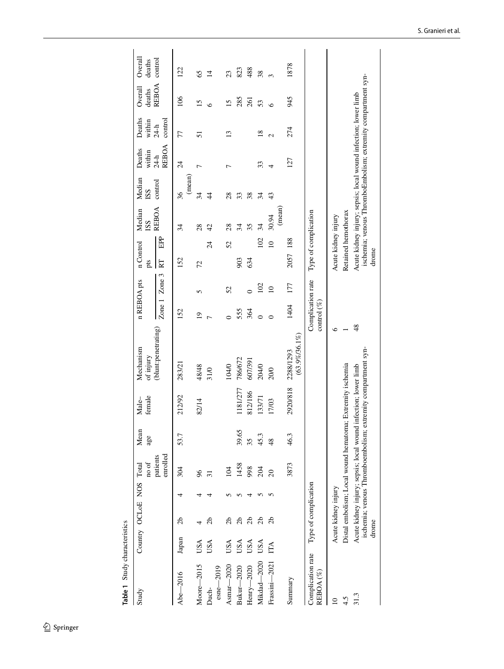<span id="page-5-0"></span>

| Table 1 Study characteristics          |       |                         |                      |               |                                                                                                                                |                        |                                     |                |                  |                         |              |         |                  |                                                                |                                                              |                   |
|----------------------------------------|-------|-------------------------|----------------------|---------------|--------------------------------------------------------------------------------------------------------------------------------|------------------------|-------------------------------------|----------------|------------------|-------------------------|--------------|---------|------------------|----------------------------------------------------------------|--------------------------------------------------------------|-------------------|
| Study                                  |       | Country OCLoE NOS Total | no of                | Mean<br>age   | female<br>Male–                                                                                                                | Mechanism<br>of injury | n REBOA pts                         |                | n Control<br>pts | Median<br>ISS           | <b>SS</b>    | Median  | Deaths<br>within | Deaths<br>within                                               | Overall<br>deaths                                            | Overall<br>deaths |
|                                        |       |                         | enrolled<br>patients |               |                                                                                                                                | (blunt:penetrating)    | Zone <sub>1</sub>                   | Zone 3         | RT               | <b>REBOA</b><br>EPP     |              | control | REBOA<br>$24-h$  | control<br>$24-h$                                              | <b>REBOA</b>                                                 | control           |
| Abe-2016                               | Japan | 2b                      | 304                  | 53.7          | 212/92                                                                                                                         | 283/21                 | 152                                 |                | 152              | 34                      | 36           | (mean)  | $\overline{24}$  | 77                                                             | 106                                                          | 122               |
| Moore-2015                             | USA   |                         | 96                   |               | 82/14                                                                                                                          | 48/48                  | $\overline{1}$                      | 5              | 72               | 28                      | 34           |         |                  | 51                                                             | 15                                                           | 65                |
| $\text{csn}$ e $\text{-}2019$<br>Duch- | USA   | 9p                      | $\overline{31}$      |               |                                                                                                                                | 31/0                   | $\overline{ }$                      |                | $\overline{24}$  | 42                      | $\ddagger$   |         |                  |                                                                | ی                                                            | $\overline{4}$    |
| Asmar $-2020$                          | USA   | 2b                      | 104                  |               |                                                                                                                                | 104/0                  |                                     | 52             | 52               | 28                      | 28           |         |                  | ്                                                              | $\overline{15}$                                              | 23                |
| Bukur-2020                             | USA   | 2b                      | 1458                 | 39.65         | 1181/277                                                                                                                       | 786/672                | 555                                 |                | 903              | 34                      | 33           |         |                  |                                                                | 285                                                          | 823               |
| Henry-2020                             | USA   | 2 <sub>b</sub>          | 998                  | 35            | 812/186                                                                                                                        | 607/391                | 364                                 | $\overline{C}$ | 634              | 35                      | 38           |         |                  |                                                                | 261                                                          | 488               |
| Mikdad-2020                            | USA   | 2b                      | 204                  | 45.3          | 133/71                                                                                                                         | 204/0                  | $\overline{\bullet}$                | 102            |                  | 34<br>102               | 34           |         | 33               | $\overline{18}$                                                | 53                                                           | 38                |
| Frassini-2021                          | ÉÁ    | ನೆ                      | $\overline{c}$       | $\frac{8}{3}$ | 17/03                                                                                                                          | 20/0                   |                                     | $\supseteq$    |                  | 30.94<br>$\overline{a}$ | 43<br>(mean) |         | 4                | $\mathcal{L}$                                                  | $\circ$                                                      | $\infty$          |
| Summary                                |       |                         | 3873                 | 46.3          | 2920/818                                                                                                                       | 2288/1293              | 1404                                | 177            | 2057 188         |                         |              |         | 127              | 274                                                            | 945                                                          | 1878              |
|                                        |       |                         |                      |               |                                                                                                                                | $(63.9\% / 36.1\%)$    |                                     |                |                  |                         |              |         |                  |                                                                |                                                              |                   |
| Complication rate<br>REBOA (%)         |       | Type of complication    |                      |               |                                                                                                                                |                        | Complication rate<br>control $(\%)$ |                |                  | Type of complication    |              |         |                  |                                                                |                                                              |                   |
| $\mathbf{r}$                           |       | Acute kidney injury     |                      |               |                                                                                                                                | $\circ$                |                                     |                |                  | Acute kidney injury     |              |         |                  |                                                                |                                                              |                   |
| 4.5                                    |       |                         |                      |               | Distal embolism; Local wound hematoma; Extremity ischemia                                                                      |                        |                                     |                |                  | Retained hemothorax     |              |         |                  |                                                                |                                                              |                   |
| 31.3                                   | drome |                         |                      |               | ischemia; venous Thromboembolism; extremity compartment syn-<br>Acute kidney injury; sepsis; local wound infection; lower limb | 48                     |                                     |                | drome            |                         |              |         |                  | Acute kidney injury; sepsis; local wound infection; lower limb | ischemia; venous ThromboEmbolism; extremity compartment syn- |                   |
|                                        |       |                         |                      |               |                                                                                                                                |                        |                                     |                |                  |                         |              |         |                  |                                                                |                                                              |                   |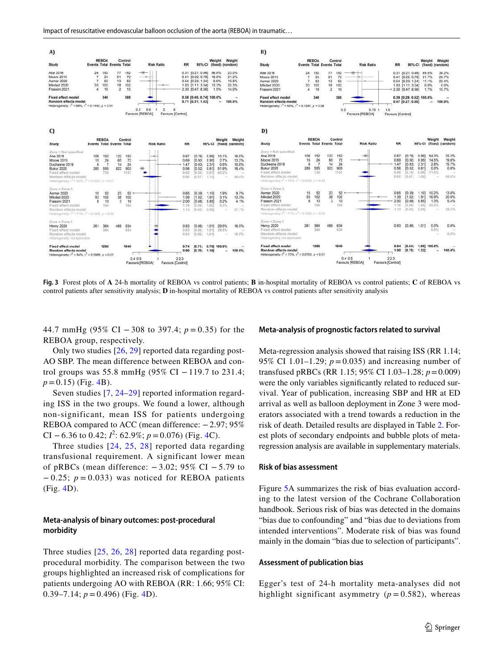

<span id="page-6-0"></span>**Fig. 3** Forest plots of **A** 24-h mortality of REBOA vs control patients; **B** in-hospital mortality of REBOA vs control patients; **C** of REBOA vs control patients after sensitivity analysis; **D** in-hospital mortality of REBOA vs control patients after sensitivity analysis

44.7 mmHg (95% CI − 308 to 397.4; *p* = 0.35) for the REBOA group, respectively.

Only two studies [[26](#page-12-5), [29](#page-12-0)] reported data regarding post-AO SBP. The mean difference between REBOA and control groups was 55.8 mmHg (95% CI – 119.7 to 231.4;  $p = 0.15$ ) (Fig. [4](#page-7-0)B).

Seven studies [[7,](#page-11-5) [24–](#page-12-6)[29](#page-12-0)] reported information regarding ISS in the two groups. We found a lower, although non-significant, mean ISS for patients undergoing REBOA compared to ACC (mean difference: −2.97; 95% CI – 6.36 to 0.[4](#page-7-0)2;  $I^2$ : 62.9%;  $p = 0.076$ ) (Fig. 4C).

Three studies [[24](#page-12-6), [25,](#page-12-3) [28](#page-12-4)] reported data regarding transfusional requirement. A significant lower mean of pRBCs (mean difference:  $-3.02$ ; 95% CI  $-5.79$  to − 0.25; *p* = 0.033) was noticed for REBOA patients (Fig. [4](#page-7-0)D).

#### **Meta‑analysis of binary outcomes: post‑procedural morbidity**

Three studies [[25,](#page-12-3) [26,](#page-12-5) [28](#page-12-4)] reported data regarding postprocedural morbidity. The comparison between the two groups highlighted an increased risk of complications for patients undergoing AO with REBOA (RR: 1.66; 95% CI: 0.39–7.14;  $p = 0.496$ ) (Fig. [4D](#page-7-0)).

#### **Meta‑analysis of prognostic factors related to survival**

Meta-regression analysis showed that raising ISS (RR 1.14; 95% CI 1.01–1.29;  $p = 0.035$ ) and increasing number of transfused pRBCs (RR 1.15; 95% CI 1.03–1.28; *p*=0.009) were the only variables signifcantly related to reduced survival. Year of publication, increasing SBP and HR at ED arrival as well as balloon deployment in Zone 3 were moderators associated with a trend towards a reduction in the risk of death. Detailed results are displayed in Table [2](#page-8-0). Forest plots of secondary endpoints and bubble plots of metaregression analysis are available in supplementary materials.

#### **Risk of bias assessment**

Figure [5A](#page-8-1) summarizes the risk of bias evaluation according to the latest version of the Cochrane Collaboration handbook. Serious risk of bias was detected in the domains "bias due to confounding" and "bias due to deviations from intended interventions". Moderate risk of bias was found mainly in the domain "bias due to selection of participants".

#### **Assessment of publication bias**

Egger's test of 24-h mortality meta-analyses did not highlight significant asymmetry  $(p = 0.582)$ , whereas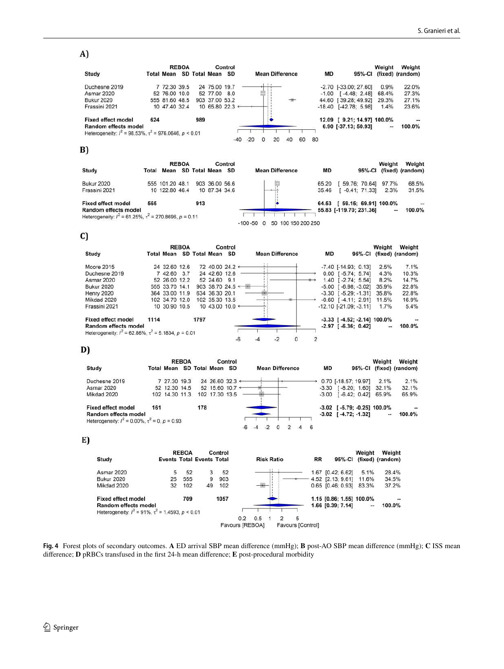# A)

|                                                                     |     |                   | <b>REBOA</b> |     |                | Control         |       |   |                        |    |    |         |                             | Weight | Weight           |
|---------------------------------------------------------------------|-----|-------------------|--------------|-----|----------------|-----------------|-------|---|------------------------|----|----|---------|-----------------------------|--------|------------------|
| Study                                                               |     | <b>Total Mean</b> |              |     | SD Total Mean  | <b>SD</b>       |       |   | <b>Mean Difference</b> |    |    | MD      | 95%-CI                      |        | (fixed) (random) |
| Duchesne 2019                                                       |     | 7 72.30 39.5      |              |     | 24 75.00 19.7  |                 |       |   |                        |    |    |         | $-2.70$ $[-33.00; 27.60]$   | 0.9%   | 22.0%            |
| <b>Asmar 2020</b>                                                   |     | 52 76.00 10.0     |              |     | 52 77.00 8.0   |                 |       |   |                        |    |    | $-1.00$ | $[-4.48; 2.48]$             | 68.4%  | 27.3%            |
| <b>Bukur 2020</b>                                                   |     | 555 81.60 48.5    |              |     | 903 37.00 53.2 |                 |       |   |                        |    |    |         | 44.60 [39.28; 49.92]        | 29.3%  | 27.1%            |
| Frassini 2021                                                       |     | 10 47.40 32.4     |              |     |                | 10 65.80 22.3 + |       |   |                        |    |    |         | $-18.40$ $[-42.78; 5.98]$   | 1.4%   | 23.6%            |
| <b>Fixed effect model</b>                                           | 624 |                   |              | 989 |                |                 |       |   |                        |    |    |         | 12.09 [ 9.21; 14.97] 100.0% |        | $\overline{a}$   |
| Random effects model                                                |     |                   |              |     |                |                 |       |   |                        |    |    |         | 6.90 [-37.13; 50.93]        | --     | 100.0%           |
| Heterogeneity: $I^2 = 98.53\%$ , $\tau^2 = 976.0646$ , $p \le 0.01$ |     |                   |              |     |                |                 |       |   |                        |    |    |         |                             |        |                  |
|                                                                     |     |                   |              |     |                | -40             | $-20$ | 0 | 20                     | 40 | 60 | 80      |                             |        |                  |
| B)                                                                  |     |                   |              |     |                |                 |       |   |                        |    |    |         |                             |        |                  |

|                                                                                           |     |                   | <b>REBOA</b> |     |                  | Control |                                       |       |                              |        | Weight         | Weight           |
|-------------------------------------------------------------------------------------------|-----|-------------------|--------------|-----|------------------|---------|---------------------------------------|-------|------------------------------|--------|----------------|------------------|
| Study                                                                                     |     | <b>Total Mean</b> |              |     | SD Total Mean SD |         | <b>Mean Difference</b>                | MD    |                              | 95%-CI |                | (fixed) (random) |
| <b>Bukur 2020</b>                                                                         |     | 555 101.20 48.1   |              |     | 903 36.00 56.6   |         |                                       | 65.20 | 59.76; 70.64]                |        | 97.7%          | 68.5%            |
| Frassini 2021                                                                             |     | 10 122.80 46.4    |              |     | 10 87.34 34.6    |         |                                       | 35.46 | $[-0.41; 71.33]$             |        | 2.3%           | 31.5%            |
| <b>Fixed effect model</b>                                                                 | 565 |                   |              | 913 |                  |         |                                       |       | 64.53 [ 59.15; 69.91] 100.0% |        |                |                  |
| Random effects model<br>Heterogeneity: $l^2 = 61.25\%$ , $\tau^2 = 270.8696$ , $p = 0.11$ |     |                   |              |     |                  |         |                                       |       | 55.83 [-119.70; 231.36]      |        | $\overline{a}$ | 100.0%           |
|                                                                                           |     |                   |              |     |                  |         | 50 100 150 200 250<br>$-100 - 50 = 0$ |       |                              |        |                |                  |

# C)

|                                                            |      |                             | <b>REBOA</b> |      |                             | Control |    |                        |  |    |                                 |        | Weight                               | Weight           |
|------------------------------------------------------------|------|-----------------------------|--------------|------|-----------------------------|---------|----|------------------------|--|----|---------------------------------|--------|--------------------------------------|------------------|
| Study                                                      |      | Total Mean SD Total Mean SD |              |      |                             |         |    | <b>Mean Difference</b> |  | MD |                                 | 95%-CI |                                      | (fixed) (random) |
| Moore 2015                                                 |      | 24 32.60 12.6               |              |      | 72 40.00 24.2 ←             |         |    |                        |  |    | $-7.40$ $[-14.93; 0.13]$        |        | 2.5%                                 | 7.1%             |
| Duchesne 2019                                              |      | 7 42.60 3.7                 |              |      | 24 42.60 12.6               |         |    |                        |  |    | $0.00$ [-5.74; 5.74]            |        | 4.3%                                 | 10.3%            |
| Asmar 2020                                                 |      | 52 26.00 12.2               |              |      | 52 24.60 9.1                |         |    |                        |  |    | 1.40 [-2.74: 5.54]              |        | 8.2%                                 | 14.7%            |
| <b>Bukur 2020</b>                                          |      | 555 33.70 14.1              |              |      | 903 38.70 24.5 $\leftarrow$ |         |    |                        |  |    | $-5.00$ [ $-6.98$ ; $-3.02$ ]   |        | 35.9%                                | 22.8%            |
| <b>Henry 2020</b>                                          |      | 364 33.00 11.9              |              |      | 634 36.30 20.1              |         |    |                        |  |    | $-3.30$ $[-5.29; -1.31]$        |        | 35.8%                                | 22.8%            |
| Mikdad 2020                                                |      | 102 34.70 12.0              |              |      | 102 35.30 13.5              |         |    |                        |  |    | $-0.60$ [ $-4.11$ : 2.91]       |        | 11.5%                                | 16.9%            |
| Frassini 2021                                              |      | 10 30.90 10.5               |              |      | 10 43.00 10.0 $\leftarrow$  |         |    |                        |  |    | $-12.10$ [ $-21.09$ ; $-3.11$ ] |        | 1.7%                                 | 5.4%             |
| <b>Fixed effect model</b>                                  | 1114 |                             |              | 1797 |                             |         |    |                        |  |    |                                 |        | $-3.33$ [ $-4.52$ ; $-2.14$ ] 100.0% |                  |
| Random effects model                                       |      |                             |              |      |                             |         |    |                        |  |    | $-2.97$ [ $-6.36$ ; 0.42]       |        | $\cdots$                             | 100.0%           |
| Heterogeneity: $l^2$ = 62.86%, $\tau^2$ = 5.1834, p = 0.01 |      |                             |              |      |                             |         |    |                        |  |    |                                 |        |                                      |                  |
|                                                            |      |                             |              |      |                             |         | -6 | $-2$                   |  |    |                                 |        |                                      |                  |

# D)

|                                                           |     |                   | <b>REBOA</b> |     |                            | Control |  |                        |  |   |    |                               |        | Weight                               | Weight           |
|-----------------------------------------------------------|-----|-------------------|--------------|-----|----------------------------|---------|--|------------------------|--|---|----|-------------------------------|--------|--------------------------------------|------------------|
| Study                                                     |     | <b>Total Mean</b> |              |     | SD Total Mean SD           |         |  | <b>Mean Difference</b> |  |   | MD |                               | 95%-CI |                                      | (fixed) (random) |
| Duchesne 2019                                             |     | 7 27.30 19.3      |              |     | 24 26.60 32.3 $\leftarrow$ |         |  |                        |  |   |    | 0.70 [-18.57; 19.97]          |        | 2.1%                                 | 2.1%             |
| Asmar 2020                                                |     | 52 12.30 14.5     |              |     | 52 15.60 10.7 $\leftarrow$ |         |  |                        |  |   |    | $-3.30$ $[-8.20; 1.60]$       |        | 32.1%                                | 32.1%            |
| Mikdad 2020                                               |     | 102 14.30 11.3    |              |     | 102 17:30 13:5             |         |  |                        |  |   |    | $-3.00$ [ $-6.42$ ; 0.42]     |        | 65.9%                                | 65.9%            |
| <b>Fixed effect model</b>                                 | 161 |                   |              | 178 |                            |         |  |                        |  |   |    |                               |        | $-3.02$ [ $-5.79$ ; $-0.25$ ] 100.0% |                  |
| Random effects model                                      |     |                   |              |     |                            |         |  |                        |  |   |    | $-3.02$ [ $-4.72$ ; $-1.32$ ] |        |                                      | 100.0%           |
| Heterogeneity: $l^2 = 0.00\%$ , $\tau^2 = 0$ , $p = 0.93$ |     |                   |              |     |                            |         |  |                        |  |   |    |                               |        |                                      |                  |
|                                                           |     |                   |              |     |                            |         |  |                        |  | 6 |    |                               |        |                                      |                  |

### E)

|                                                                   |    | <b>REBOA</b> |                                  | Control |                 |     |                   |                   |           |                          | Weight                   | Weight           |
|-------------------------------------------------------------------|----|--------------|----------------------------------|---------|-----------------|-----|-------------------|-------------------|-----------|--------------------------|--------------------------|------------------|
| Study                                                             |    |              | <b>Events Total Events Total</b> |         |                 |     | <b>Risk Ratio</b> |                   | <b>RR</b> | 95%-CI                   |                          | (fixed) (random) |
| Asmar 2020                                                        |    | 52           | 3                                | 52      |                 |     |                   |                   | 1.67      | [0.42; 6.62]             | 5.1%                     | 28.4%            |
| <b>Bukur 2020</b>                                                 | 25 | 555          | 9                                | 903     |                 |     |                   |                   |           | 4.52 [2.13; 9.61]        | 11.6%                    | 34.5%            |
| Mikdad 2020                                                       | 32 | 102          | 49                               | 102     |                 |     |                   |                   |           | $0.65$ $[0.46; 0.93]$    | 83.3%                    | 37.2%            |
| <b>Fixed effect model</b>                                         |    | 709          |                                  | 1057    |                 |     |                   |                   |           | 1.15 [0.86; 1.55] 100.0% |                          | ٠.               |
| Random effects model                                              |    |              |                                  |         |                 |     |                   |                   |           | 1.66 [0.39; 7.14]        | $\overline{\phantom{a}}$ | 100.0%           |
| Heterogeneity: $l^2 = 91\%$ , $\tau^2 = 1.4593$ , $\rho \le 0.01$ |    |              |                                  |         |                 |     |                   |                   |           |                          |                          |                  |
|                                                                   |    |              |                                  |         | 0.2             | 0.5 |                   | 5                 |           |                          |                          |                  |
|                                                                   |    |              |                                  |         | Favours [REBOA] |     |                   | Favours [Control] |           |                          |                          |                  |

<span id="page-7-0"></span>**Fig. 4** Forest plots of secondary outcomes. **A** ED arrival SBP mean diference (mmHg); **B** post-AO SBP mean diference (mmHg); **C** ISS mean diference; **D** pRBCs transfused in the frst 24-h mean diference; **E** post-procedural morbidity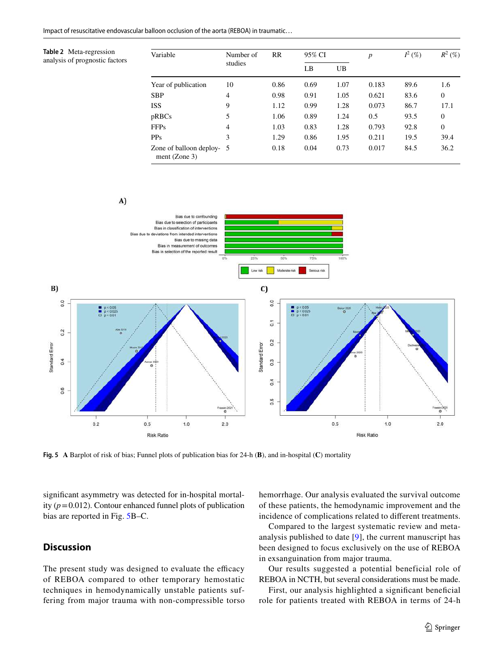<span id="page-8-0"></span>**Table 2** Meta-regression analysis of prognostic factors

| Variable                                     | Number of      | <b>RR</b> | 95% CI |      | $\boldsymbol{p}$ | $I^2$ (%) | $R^2$ (%)    |
|----------------------------------------------|----------------|-----------|--------|------|------------------|-----------|--------------|
|                                              | studies        |           | LB     | UB   |                  |           |              |
| Year of publication                          | 10             | 0.86      | 0.69   | 1.07 | 0.183            | 89.6      | 1.6          |
| <b>SBP</b>                                   | 4              | 0.98      | 0.91   | 1.05 | 0.621            | 83.6      | $\mathbf{0}$ |
| <b>ISS</b>                                   | 9              | 1.12      | 0.99   | 1.28 | 0.073            | 86.7      | 17.1         |
| pRBCs                                        | 5              | 1.06      | 0.89   | 1.24 | 0.5              | 93.5      | $\mathbf{0}$ |
| <b>FFPs</b>                                  | $\overline{4}$ | 1.03      | 0.83   | 1.28 | 0.793            | 92.8      | $\mathbf{0}$ |
| <b>PPs</b>                                   | 3              | 1.29      | 0.86   | 1.95 | 0.211            | 19.5      | 39.4         |
| Zone of balloon deploy- 5<br>ment $(Zone 3)$ |                | 0.18      | 0.04   | 0.73 | 0.017            | 84.5      | 36.2         |

 $A$ 



<span id="page-8-1"></span>**Fig. 5 A** Barplot of risk of bias; Funnel plots of publication bias for 24-h (**B**), and in-hospital (**C**) mortality

signifcant asymmetry was detected for in-hospital mortality  $(p=0.012)$ . Contour enhanced funnel plots of publication bias are reported in Fig. [5B](#page-8-1)–C.

# **Discussion**

The present study was designed to evaluate the efficacy of REBOA compared to other temporary hemostatic techniques in hemodynamically unstable patients suffering from major trauma with non-compressible torso hemorrhage. Our analysis evaluated the survival outcome of these patients, the hemodynamic improvement and the incidence of complications related to diferent treatments.

Compared to the largest systematic review and metaanalysis published to date [[9\]](#page-11-7), the current manuscript has been designed to focus exclusively on the use of REBOA in exsanguination from major trauma.

Our results suggested a potential beneficial role of REBOA in NCTH, but several considerations must be made.

First, our analysis highlighted a significant beneficial role for patients treated with REBOA in terms of 24-h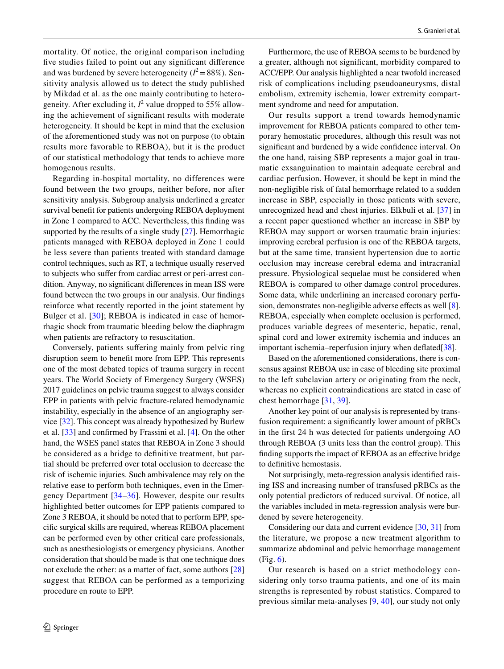mortality. Of notice, the original comparison including fve studies failed to point out any signifcant diference and was burdened by severe heterogeneity  $(I^2 = 88\%)$ . Sensitivity analysis allowed us to detect the study published by Mikdad et al. as the one mainly contributing to heterogeneity. After excluding it,  $l^2$  value dropped to 55% allowing the achievement of signifcant results with moderate heterogeneity. It should be kept in mind that the exclusion of the aforementioned study was not on purpose (to obtain results more favorable to REBOA), but it is the product of our statistical methodology that tends to achieve more homogenous results.

Regarding in-hospital mortality, no differences were found between the two groups, neither before, nor after sensitivity analysis. Subgroup analysis underlined a greater survival beneft for patients undergoing REBOA deployment in Zone 1 compared to ACC. Nevertheless, this fnding was supported by the results of a single study [\[27\]](#page-12-1). Hemorrhagic patients managed with REBOA deployed in Zone 1 could be less severe than patients treated with standard damage control techniques, such as RT, a technique usually reserved to subjects who sufer from cardiac arrest or peri-arrest condition. Anyway, no signifcant diferences in mean ISS were found between the two groups in our analysis. Our fndings reinforce what recently reported in the joint statement by Bulger et al. [[30](#page-12-7)]; REBOA is indicated in case of hemorrhagic shock from traumatic bleeding below the diaphragm when patients are refractory to resuscitation.

Conversely, patients sufering mainly from pelvic ring disruption seem to beneft more from EPP. This represents one of the most debated topics of trauma surgery in recent years. The World Society of Emergency Surgery (WSES) 2017 guidelines on pelvic trauma suggest to always consider EPP in patients with pelvic fracture-related hemodynamic instability, especially in the absence of an angiography service [\[32](#page-12-8)]. This concept was already hypothesized by Burlew et al. [\[33\]](#page-12-9) and confrmed by Frassini et al. [\[4](#page-11-3)]. On the other hand, the WSES panel states that REBOA in Zone 3 should be considered as a bridge to defnitive treatment, but partial should be preferred over total occlusion to decrease the risk of ischemic injuries. Such ambivalence may rely on the relative ease to perform both techniques, even in the Emergency Department [[34–](#page-12-10)[36](#page-12-11)]. However, despite our results highlighted better outcomes for EPP patients compared to Zone 3 REBOA, it should be noted that to perform EPP, specifc surgical skills are required, whereas REBOA placement can be performed even by other critical care professionals, such as anesthesiologists or emergency physicians. Another consideration that should be made is that one technique does not exclude the other: as a matter of fact, some authors [[28\]](#page-12-4) suggest that REBOA can be performed as a temporizing procedure en route to EPP.

Furthermore, the use of REBOA seems to be burdened by a greater, although not signifcant, morbidity compared to ACC/EPP. Our analysis highlighted a near twofold increased risk of complications including pseudoaneurysms, distal embolism, extremity ischemia, lower extremity compartment syndrome and need for amputation.

Our results support a trend towards hemodynamic improvement for REBOA patients compared to other temporary hemostatic procedures, although this result was not signifcant and burdened by a wide confdence interval. On the one hand, raising SBP represents a major goal in traumatic exsanguination to maintain adequate cerebral and cardiac perfusion. However, it should be kept in mind the non-negligible risk of fatal hemorrhage related to a sudden increase in SBP, especially in those patients with severe, unrecognized head and chest injuries. Elkbuli et al. [\[37](#page-12-12)] in a recent paper questioned whether an increase in SBP by REBOA may support or worsen traumatic brain injuries: improving cerebral perfusion is one of the REBOA targets, but at the same time, transient hypertension due to aortic occlusion may increase cerebral edema and intracranial pressure. Physiological sequelae must be considered when REBOA is compared to other damage control procedures. Some data, while underlining an increased coronary perfu-sion, demonstrates non-negligible adverse effects as well [[8](#page-11-6)]. REBOA, especially when complete occlusion is performed, produces variable degrees of mesenteric, hepatic, renal, spinal cord and lower extremity ischemia and induces an important ischemia–reperfusion injury when deflated[\[38](#page-12-13)].

Based on the aforementioned considerations, there is consensus against REBOA use in case of bleeding site proximal to the left subclavian artery or originating from the neck, whereas no explicit contraindications are stated in case of chest hemorrhage [\[31](#page-12-14), [39](#page-12-15)].

Another key point of our analysis is represented by transfusion requirement: a signifcantly lower amount of pRBCs in the frst 24 h was detected for patients undergoing AO through REBOA (3 units less than the control group). This fnding supports the impact of REBOA as an efective bridge to defnitive hemostasis.

Not surprisingly, meta-regression analysis identifed raising ISS and increasing number of transfused pRBCs as the only potential predictors of reduced survival. Of notice, all the variables included in meta-regression analysis were burdened by severe heterogeneity.

Considering our data and current evidence [[30](#page-12-7), [31](#page-12-14)] from the literature, we propose a new treatment algorithm to summarize abdominal and pelvic hemorrhage management (Fig. [6\)](#page-10-0).

Our research is based on a strict methodology considering only torso trauma patients, and one of its main strengths is represented by robust statistics. Compared to previous similar meta-analyses [[9](#page-11-7), [40\]](#page-12-16), our study not only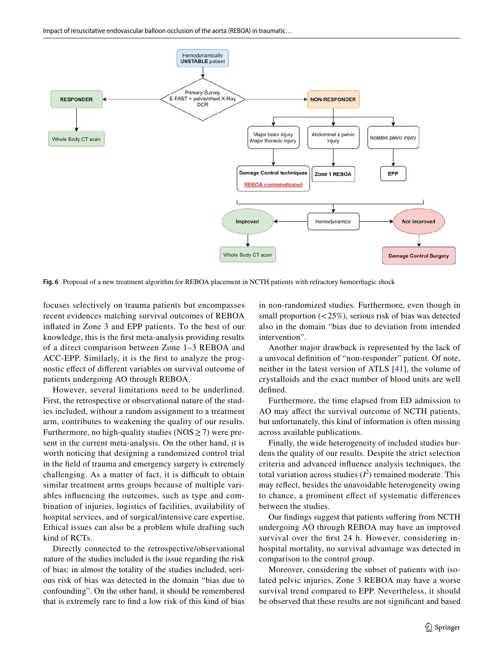

<span id="page-10-0"></span>**Fig. 6** Proposal of a new treatment algorithm for REBOA placement in NCTH patients with refractory hemorrhagic shock

focuses selectively on trauma patients but encompasses recent evidences matching survival outcomes of REBOA infated in Zone 3 and EPP patients. To the best of our knowledge, this is the frst meta-analysis providing results of a direct comparison between Zone 1–3 REBOA and ACC-EPP. Similarly, it is the frst to analyze the prognostic efect of diferent variables on survival outcome of patients undergoing AO through REBOA.

However, several limitations need to be underlined. First, the retrospective or observational nature of the studies included, without a random assignment to a treatment arm, contributes to weakening the quality of our results. Furthermore, no high-quality studies ( $NOS \ge 7$ ) were present in the current meta-analysis. On the other hand, it is worth noticing that designing a randomized control trial in the feld of trauma and emergency surgery is extremely challenging. As a matter of fact, it is difficult to obtain similar treatment arms groups because of multiple variables infuencing the outcomes, such as type and combination of injuries, logistics of facilities, availability of hospital services, and of surgical/intensive care expertise. Ethical issues can also be a problem while drafting such kind of RCTs.

Directly connected to the retrospective/observational nature of the studies included is the issue regarding the risk of bias: in almost the totality of the studies included, serious risk of bias was detected in the domain "bias due to confounding". On the other hand, it should be remembered that is extremely rare to fnd a low risk of this kind of bias in non-randomized studies. Furthermore, even though in small proportion  $\left( < 25\% \right)$ , serious risk of bias was detected also in the domain "bias due to deviation from intended intervention".

Another major drawback is represented by the lack of a univocal defnition of "non-responder" patient. Of note, neither in the latest version of ATLS [[41](#page-12-17)], the volume of crystalloids and the exact number of blood units are well defned.

Furthermore, the time elapsed from ED admission to AO may afect the survival outcome of NCTH patients, but unfortunately, this kind of information is often missing across available publications.

Finally, the wide heterogeneity of included studies burdens the quality of our results. Despite the strict selection criteria and advanced infuence analysis techniques, the total variation across studies  $(I^2)$  remained moderate. This may refect, besides the unavoidable heterogeneity owing to chance, a prominent efect of systematic diferences between the studies.

Our fndings suggest that patients sufering from NCTH undergoing AO through REBOA may have an improved survival over the frst 24 h. However, considering inhospital mortality, no survival advantage was detected in comparison to the control group.

Moreover, considering the subset of patients with isolated pelvic injuries, Zone 3 REBOA may have a worse survival trend compared to EPP. Nevertheless, it should be observed that these results are not signifcant and based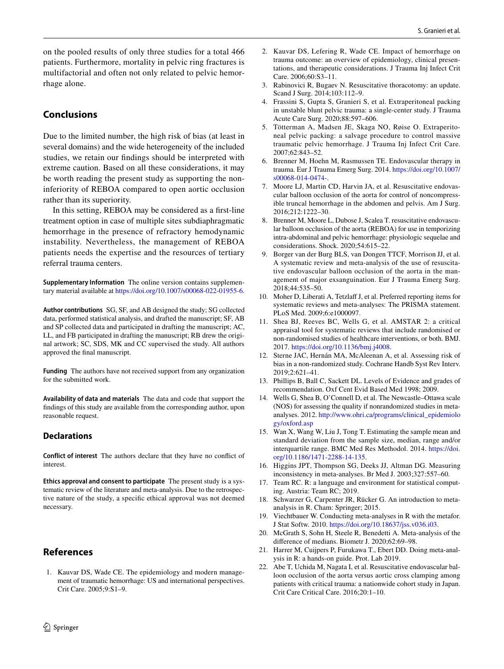on the pooled results of only three studies for a total 466 patients. Furthermore, mortality in pelvic ring fractures is multifactorial and often not only related to pelvic hemorrhage alone.

### **Conclusions**

Due to the limited number, the high risk of bias (at least in several domains) and the wide heterogeneity of the included studies, we retain our fndings should be interpreted with extreme caution. Based on all these considerations, it may be worth reading the present study as supporting the noninferiority of REBOA compared to open aortic occlusion rather than its superiority.

In this setting, REBOA may be considered as a frst-line treatment option in case of multiple sites subdiaphragmatic hemorrhage in the presence of refractory hemodynamic instability. Nevertheless, the management of REBOA patients needs the expertise and the resources of tertiary referral trauma centers.

**Supplementary Information** The online version contains supplementary material available at<https://doi.org/10.1007/s00068-022-01955-6>.

**Author contributions** SG, SF, and AB designed the study; SG collected data, performed statistical analysis, and drafted the manuscript; SF, AB and SP collected data and participated in drafting the manuscript; AC, LL, and FB participated in drafting the manuscript; RB drew the original artwork; SC, SDS, MK and CC supervised the study. All authors approved the fnal manuscript.

**Funding** The authors have not received support from any organization for the submitted work.

**Availability of data and materials** The data and code that support the fndings of this study are available from the corresponding author, upon reasonable request.

#### **Declarations**

**Conflict of interest** The authors declare that they have no confict of interest.

**Ethics approval and consent to participate** The present study is a systematic review of the literature and meta-analysis. Due to the retrospective nature of the study, a specifc ethical approval was not deemed necessary.

### **References**

- <span id="page-11-0"></span>1. Kauvar DS, Wade CE. The epidemiology and modern management of traumatic hemorrhage: US and international perspectives. Crit Care. 2005;9:S1–9.
- $\textcircled{2}$  Springer
- <span id="page-11-1"></span>2. Kauvar DS, Lefering R, Wade CE. Impact of hemorrhage on trauma outcome: an overview of epidemiology, clinical presentations, and therapeutic considerations. J Trauma Inj Infect Crit Care. 2006;60:S3–11.
- <span id="page-11-2"></span>3. Rabinovici R, Bugaev N. Resuscitative thoracotomy: an update. Scand J Surg. 2014;103:112–9.
- <span id="page-11-3"></span>4. Frassini S, Gupta S, Granieri S, et al. Extraperitoneal packing in unstable blunt pelvic trauma: a single-center study. J Trauma Acute Care Surg. 2020;88:597–606.
- 5. Tötterman A, Madsen JE, Skaga NO, Røise O. Extraperitoneal pelvic packing: a salvage procedure to control massive traumatic pelvic hemorrhage. J Trauma Inj Infect Crit Care. 2007;62:843–52.
- <span id="page-11-4"></span>6. Brenner M, Hoehn M, Rasmussen TE. Endovascular therapy in trauma. Eur J Trauma Emerg Surg. 2014. [https://doi.org/10.1007/](https://doi.org/10.1007/s00068-014-0474-) [s00068-014-0474-.](https://doi.org/10.1007/s00068-014-0474-)
- <span id="page-11-5"></span>7. Moore LJ, Martin CD, Harvin JA, et al. Resuscitative endovascular balloon occlusion of the aorta for control of noncompressible truncal hemorrhage in the abdomen and pelvis. Am J Surg. 2016;212:1222–30.
- <span id="page-11-6"></span>8. Brenner M, Moore L, Dubose J, Scalea T. resuscitative endovascular balloon occlusion of the aorta (REBOA) for use in temporizing intra-abdominal and pelvic hemorrhage: physiologic sequelae and considerations. Shock. 2020;54:615–22.
- <span id="page-11-7"></span>9. Borger van der Burg BLS, van Dongen TTCF, Morrison JJ, et al. A systematic review and meta-analysis of the use of resuscitative endovascular balloon occlusion of the aorta in the management of major exsanguination. Eur J Trauma Emerg Surg. 2018;44:535–50.
- <span id="page-11-8"></span>10. Moher D, Liberati A, Tetzlaff J, et al. Preferred reporting items for systematic reviews and meta-analyses: The PRISMA statement. PLoS Med. 2009;6:e1000097.
- <span id="page-11-9"></span>11. Shea BJ, Reeves BC, Wells G, et al. AMSTAR 2: a critical appraisal tool for systematic reviews that include randomised or non-randomised studies of healthcare interventions, or both. BMJ. 2017. [https://doi.org/10.1136/bmj.j4008.](https://doi.org/10.1136/bmj.j4008)
- <span id="page-11-10"></span>12. Sterne JAC, Hernán MA, McAleenan A, et al. Assessing risk of bias in a non-randomized study. Cochrane Handb Syst Rev Interv. 2019;2:621–41.
- <span id="page-11-11"></span>13. Phillips B, Ball C, Sackett DL. Levels of Evidence and grades of recommendation. Oxf Cent Evid Based Med 1998; 2009.
- <span id="page-11-12"></span>14. Wells G, Shea B, O'Connell D, et al. The Newcastle–Ottawa scale (NOS) for assessing the quality if nonrandomized studies in metaanalyses. 2012. [http://www.ohri.ca/programs/clinical\\_epidemiolo](http://www.ohri.ca/programs/clinical_epidemiology/oxford.asp) [gy/oxford.asp](http://www.ohri.ca/programs/clinical_epidemiology/oxford.asp)
- <span id="page-11-13"></span>15. Wan X, Wang W, Liu J, Tong T. Estimating the sample mean and standard deviation from the sample size, median, range and/or interquartile range. BMC Med Res Methodol. 2014. [https://doi.](https://doi.org/10.1186/1471-2288-14-135) [org/10.1186/1471-2288-14-135.](https://doi.org/10.1186/1471-2288-14-135)
- <span id="page-11-14"></span>16. Higgins JPT, Thompson SG, Deeks JJ, Altman DG. Measuring inconsistency in meta-analyses. Br Med J. 2003;327:557–60.
- <span id="page-11-15"></span>17. Team RC. R: a language and environment for statistical computing. Austria: Team RC; 2019.
- <span id="page-11-16"></span>18. Schwarzer G, Carpenter JR, Rücker G. An introduction to metaanalysis in R. Cham: Springer; 2015.
- 19. Viechtbauer W. Conducting meta-analyses in R with the metafor. J Stat Softw. 2010. [https://doi.org/10.18637/jss.v036.i03.](https://doi.org/10.18637/jss.v036.i03)
- 20. McGrath S, Sohn H, Steele R, Benedetti A. Meta-analysis of the diference of medians. Biometr J. 2020;62:69–98.
- <span id="page-11-17"></span>21. Harrer M, Cuijpers P, Furukawa T., Ebert DD. Doing meta-analysis in R: a hands-on guide. Prot. Lab 2019.
- <span id="page-11-18"></span>22. Abe T, Uchida M, Nagata I, et al. Resuscitative endovascular balloon occlusion of the aorta versus aortic cross clamping among patients with critical trauma: a nationwide cohort study in Japan. Crit Care Critical Care. 2016;20:1–10.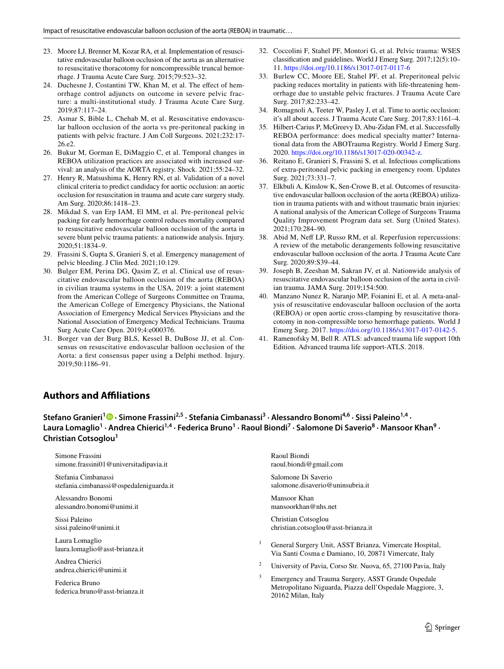- <span id="page-12-2"></span>23. Moore LJ, Brenner M, Kozar RA, et al. Implementation of resuscitative endovascular balloon occlusion of the aorta as an alternative to resuscitative thoracotomy for noncompressible truncal hemorrhage. J Trauma Acute Care Surg. 2015;79:523–32.
- <span id="page-12-6"></span>24. Duchesne J, Costantini TW, Khan M, et al. The efect of hemorrhage control adjuncts on outcome in severe pelvic fracture: a multi-institutional study. J Trauma Acute Care Surg. 2019;87:117–24.
- <span id="page-12-3"></span>25. Asmar S, Bible L, Chehab M, et al. Resuscitative endovascular balloon occlusion of the aorta vs pre-peritoneal packing in patients with pelvic fracture. J Am Coll Surgeons. 2021;232:17- 26.e2.
- <span id="page-12-5"></span>26. Bukur M, Gorman E, DiMaggio C, et al. Temporal changes in REBOA utilization practices are associated with increased survival: an analysis of the AORTA registry. Shock. 2021;55:24–32.
- <span id="page-12-1"></span>27. Henry R, Matsushima K, Henry RN, et al. Validation of a novel clinical criteria to predict candidacy for aortic occlusion: an aortic occlusion for resuscitation in trauma and acute care surgery study. Am Surg. 2020;86:1418–23.
- <span id="page-12-4"></span>28. Mikdad S, van Erp IAM, El MM, et al. Pre-peritoneal pelvic packing for early hemorrhage control reduces mortality compared to resuscitative endovascular balloon occlusion of the aorta in severe blunt pelvic trauma patients: a nationwide analysis. Injury. 2020;51:1834–9.
- <span id="page-12-0"></span>29. Frassini S, Gupta S, Granieri S, et al. Emergency management of pelvic bleeding. J Clin Med. 2021;10:129.
- <span id="page-12-7"></span>30. Bulger EM, Perina DG, Qasim Z, et al. Clinical use of resuscitative endovascular balloon occlusion of the aorta (REBOA) in civilian trauma systems in the USA, 2019: a joint statement from the American College of Surgeons Committee on Trauma, the American College of Emergency Physicians, the National Association of Emergency Medical Services Physicians and the National Association of Emergency Medical Technicians. Trauma Surg Acute Care Open. 2019;4:e000376.
- <span id="page-12-14"></span>31. Borger van der Burg BLS, Kessel B, DuBose JJ, et al. Consensus on resuscitative endovascular balloon occlusion of the Aorta: a frst consensus paper using a Delphi method. Injury. 2019;50:1186–91.
- <span id="page-12-8"></span>32. Coccolini F, Stahel PF, Montori G, et al. Pelvic trauma: WSES classifcation and guidelines. World J Emerg Surg. 2017;12(5):10– 11.<https://doi.org/10.1186/s13017-017-0117-6>
- <span id="page-12-9"></span>33. Burlew CC, Moore EE, Stahel PF, et al. Preperitoneal pelvic packing reduces mortality in patients with life-threatening hemorrhage due to unstable pelvic fractures. J Trauma Acute Care Surg. 2017;82:233–42.
- <span id="page-12-10"></span>34. Romagnoli A, Teeter W, Pasley J, et al. Time to aortic occlusion: it's all about access. J Trauma Acute Care Surg. 2017;83:1161–4.
- 35. Hilbert-Carius P, McGreevy D, Abu-Zidan FM, et al. Successfully REBOA performance: does medical specialty matter? International data from the ABOTrauma Registry. World J Emerg Surg. 2020. <https://doi.org/10.1186/s13017-020-00342-z>.
- <span id="page-12-11"></span>36. Reitano E, Granieri S, Frassini S, et al. Infectious complications of extra-peritoneal pelvic packing in emergency room. Updates Surg. 2021;73:331–7.
- <span id="page-12-12"></span>37. Elkbuli A, Kinslow K, Sen-Crowe B, et al. Outcomes of resuscitative endovascular balloon occlusion of the aorta (REBOA) utilization in trauma patients with and without traumatic brain injuries: A national analysis of the American College of Surgeons Trauma Quality Improvement Program data set. Surg (United States). 2021;170:284–90.
- <span id="page-12-13"></span>38. Abid M, Neff LP, Russo RM, et al. Reperfusion repercussions: A review of the metabolic derangements following resuscitative endovascular balloon occlusion of the aorta. J Trauma Acute Care Surg. 2020;89:S39–44.
- <span id="page-12-15"></span>39. Joseph B, Zeeshan M, Sakran JV, et al. Nationwide analysis of resuscitative endovascular balloon occlusion of the aorta in civilian trauma. JAMA Surg. 2019;154:500.
- <span id="page-12-16"></span>40. Manzano Nunez R, Naranjo MP, Foianini E, et al. A meta-analysis of resuscitative endovascular balloon occlusion of the aorta (REBOA) or open aortic cross-clamping by resuscitative thoracotomy in non-compressible torso hemorrhage patients. World J Emerg Surg. 2017. [https://doi.org/10.1186/s13017-017-0142-5.](https://doi.org/10.1186/s13017-017-0142-5)
- <span id="page-12-17"></span>41. Ramenofsky M, Bell R. ATLS: advanced trauma life support 10th Edition. Advanced trauma life support-ATLS. 2018.

# **Authors and Afliations**

**Stefano Granieri[1](http://orcid.org/0000-0001-9167-3400) · Simone Frassini2,5 · Stefania Cimbanassi3 · Alessandro Bonomi4,6 · Sissi Paleino1,4 ·**  Laura Lomaglio<sup>1</sup> · Andrea Chierici<sup>1,4</sup> · Federica Bruno<sup>1</sup> · Raoul Biondi<sup>7</sup> · Salomone Di Saverio<sup>8</sup> · Mansoor Khan<sup>9</sup> · **Christian Cotsoglou<sup>1</sup>**

Simone Frassini simone.frassini01@universitadipavia.it Stefania Cimbanassi stefania.cimbanassi@ospedaleniguarda.it Alessandro Bonomi alessandro.bonomi@unimi.it Sissi Paleino sissi.paleino@unimi.it Laura Lomaglio laura.lomaglio@asst-brianza.it Andrea Chierici andrea.chierici@unimi.it Federica Bruno federica.bruno@asst-brianza.it Raoul Biondi raoul.biondi@gmail.com Salomone Di Saverio salomone.disaverio@uninsubria.it Mansoor Khan mansoorkhan@nhs.net Christian Cotsoglou christian.cotsoglou@asst-brianza.it <sup>1</sup> General Surgery Unit, ASST Brianza, Vimercate Hospital, Via Santi Cosma e Damiano, 10, 20871 Vimercate, Italy <sup>2</sup> University of Pavia, Corso Str. Nuova, 65, 27100 Pavia, Italy <sup>3</sup> Emergency and Trauma Surgery, ASST Grande Ospedale Metropolitano Niguarda, Piazza dell'Ospedale Maggiore, 3, 20162 Milan, Italy